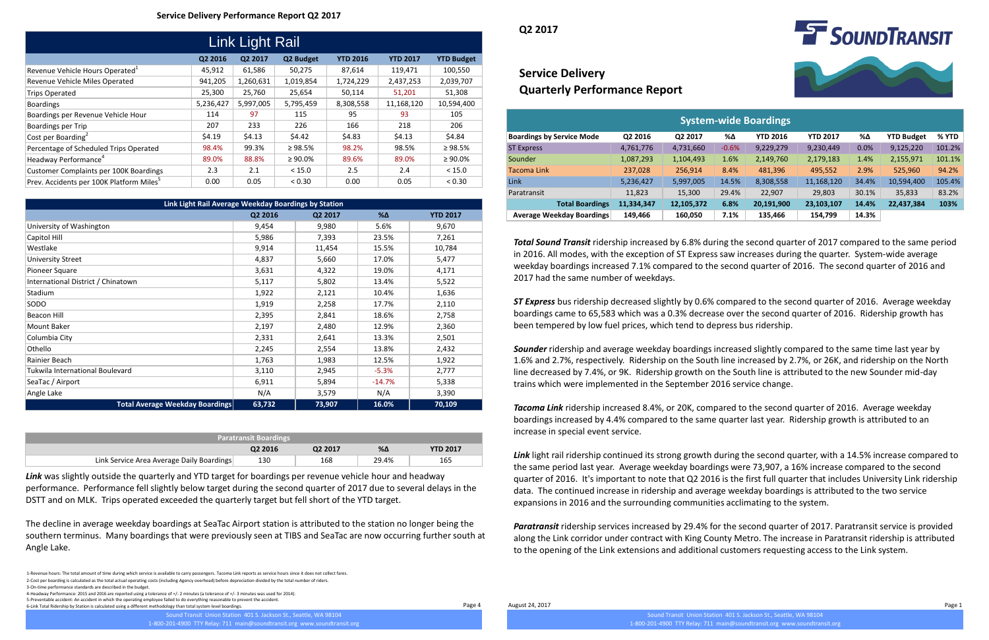1-Revenue hours: The total amount of time during which service is available to carry passengers. Tacoma Link reports as service hours since it does not collect fares. 2-Cost per boarding is calculated as the total actual operating costs (including Agency overhead) before depreciation divided by the total number of riders. 3-On-time performance standards are described in the budget.

4-Headway Performance: 2015 and 2016 are reported using a tolerance of +/- 2 minutes (a tolerance of +/- 3 minutes was used for 2014). 5-Preventable accident: An accident in which the operating employee failed to do everything reasonable to prevent the accident.

6-Link Total Ridership by Station is calculated using a different methodology than total system level boardings.

| <b>Paratransit Boardings</b>              |                     |         |       |                 |  |  |  |
|-------------------------------------------|---------------------|---------|-------|-----------------|--|--|--|
|                                           | Q <sub>2</sub> 2016 | Q2 2017 | %Δ    | <b>YTD 2017</b> |  |  |  |
| Link Service Area Average Daily Boardings | 130                 | 168     | 29.4% | 165             |  |  |  |

| Link Light Rail Average Weekday Boardings by Station |         |         |            |                 |  |  |  |  |
|------------------------------------------------------|---------|---------|------------|-----------------|--|--|--|--|
|                                                      | Q2 2016 | Q2 2017 | $% \Delta$ | <b>YTD 2017</b> |  |  |  |  |
| University of Washington                             | 9,454   | 9,980   | 5.6%       | 9,670           |  |  |  |  |
| Capitol Hill                                         | 5,986   | 7,393   | 23.5%      | 7,261           |  |  |  |  |
| Westlake                                             | 9,914   | 11,454  | 15.5%      | 10,784          |  |  |  |  |
| <b>University Street</b>                             | 4,837   | 5,660   | 17.0%      | 5,477           |  |  |  |  |
| Pioneer Square                                       | 3,631   | 4,322   | 19.0%      | 4,171           |  |  |  |  |
| International District / Chinatown                   | 5,117   | 5,802   | 13.4%      | 5,522           |  |  |  |  |
| Stadium                                              | 1,922   | 2,121   | 10.4%      | 1,636           |  |  |  |  |
| SODO                                                 | 1,919   | 2,258   | 17.7%      | 2,110           |  |  |  |  |
| <b>Beacon Hill</b>                                   | 2,395   | 2,841   | 18.6%      | 2,758           |  |  |  |  |
| Mount Baker                                          | 2,197   | 2,480   | 12.9%      | 2,360           |  |  |  |  |
| Columbia City                                        | 2,331   | 2,641   | 13.3%      | 2,501           |  |  |  |  |
| Othello                                              | 2,245   | 2,554   | 13.8%      | 2,432           |  |  |  |  |
| Rainier Beach                                        | 1,763   | 1,983   | 12.5%      | 1,922           |  |  |  |  |
| Tukwila International Boulevard                      | 3,110   | 2,945   | $-5.3%$    | 2,777           |  |  |  |  |
| SeaTac / Airport                                     | 6,911   | 5,894   | $-14.7%$   | 5,338           |  |  |  |  |
| Angle Lake                                           | N/A     | 3,579   | N/A        | 3,390           |  |  |  |  |
| <b>Total Average Weekday Boardings</b>               | 63,732  | 73,907  | 16.0%      | 70,109          |  |  |  |  |

Page 4 August 24, 2017 Page 1

Sound Transit Union Station 401 S. Jackson St., Seattle, WA 98104

1-800-201-4900 TTY Relay: 711 main@soundtransit.org www.soundtransit.org



| Link Light Rail                                      |           |           |               |                 |                 |                   |  |  |
|------------------------------------------------------|-----------|-----------|---------------|-----------------|-----------------|-------------------|--|--|
|                                                      | Q2 2016   | Q2 2017   | Q2 Budget     | <b>YTD 2016</b> | <b>YTD 2017</b> | <b>YTD Budget</b> |  |  |
| Revenue Vehicle Hours Operated <sup>1</sup>          | 45,912    | 61,586    | 50,275        | 87,614          | 119,471         | 100,550           |  |  |
| Revenue Vehicle Miles Operated                       | 941,205   | 1,260,631 | 1,019,854     | 1,724,229       | 2,437,253       | 2,039,707         |  |  |
| <b>Trips Operated</b>                                | 25,300    | 25,760    | 25,654        | 50,114          | 51,201          | 51,308            |  |  |
| <b>Boardings</b>                                     | 5,236,427 | 5,997,005 | 5,795,459     | 8,308,558       | 11,168,120      | 10,594,400        |  |  |
| Boardings per Revenue Vehicle Hour                   | 114       | 97        | 115           | 95              | 93              | 105               |  |  |
| Boardings per Trip                                   | 207       | 233       | 226           | 166             | 218             | 206               |  |  |
| Cost per Boarding <sup>2</sup>                       | \$4.19    | \$4.13    | \$4.42        | \$4.83          | \$4.13          | \$4.84            |  |  |
| Percentage of Scheduled Trips Operated               | 98.4%     | 99.3%     | $\geq 98.5\%$ | 98.2%           | 98.5%           | $\geq 98.5\%$     |  |  |
| Headway Performance <sup>4</sup>                     | 89.0%     | 88.8%     | $\geq 90.0\%$ | 89.6%           | 89.0%           | $\geq 90.0\%$     |  |  |
| <b>Customer Complaints per 100K Boardings</b>        | 2.3       | 2.1       | < 15.0        | 2.5             | 2.4             | < 15.0            |  |  |
| Prev. Accidents per 100K Platform Miles <sup>5</sup> | 0.00      | 0.05      | < 0.30        | 0.00            | 0.05            | < 0.30            |  |  |

| <b>System-wide Boardings</b>     |            |            |         |                 |                 |       |                   |         |  |
|----------------------------------|------------|------------|---------|-----------------|-----------------|-------|-------------------|---------|--|
| <b>Boardings by Service Mode</b> | Q2 2016    | Q2 2017    | %Δ      | <b>YTD 2016</b> | <b>YTD 2017</b> | %Δ    | <b>YTD Budget</b> | $%$ YTD |  |
| <b>ST Express</b>                | 4,761,776  | 4,731,660  | $-0.6%$ | 9,229,279       | 9,230,449       | 0.0%  | 9,125,220         | 101.2%  |  |
| Sounder                          | 1,087,293  | 1,104,493  | 1.6%    | 2,149,760       | 2,179,183       | 1.4%  | 2,155,971         | 101.1%  |  |
| <b>Tacoma Link</b>               | 237,028    | 256,914    | 8.4%    | 481,396         | 495,552         | 2.9%  | 525,960           | 94.2%   |  |
| Link                             | 5,236,427  | 5,997,005  | 14.5%   | 8,308,558       | 11,168,120      | 34.4% | 10,594,400        | 105.4%  |  |
| Paratransit                      | 11,823     | 15,300     | 29.4%   | 22,907          | 29,803          | 30.1% | 35,833            | 83.2%   |  |
| <b>Total Boardings</b>           | 11,334,347 | 12,105,372 | 6.8%    | 20,191,900      | 23,103,107      | 14.4% | 22,437,384        | 103%    |  |
| <b>Average Weekday Boardings</b> | 149,466    | 160,050    | 7.1%    | 135,466         | 154,799         | 14.3% |                   |         |  |

# **Service Delivery Quarterly Performance Report**

### **Service Delivery Performance Report Q2 2017**

**Q2 2017**

*Total Sound Transit* ridership increased by 6.8% during the second quarter of 2017 compared to the same period in 2016. All modes, with the exception of ST Express saw increases during the quarter. System-wide average weekday boardings increased 7.1% compared to the second quarter of 2016. The second quarter of 2016 and 2017 had the same number of weekdays.

*ST Express* bus ridership decreased slightly by 0.6% compared to the second quarter of 2016. Average weekday boardings came to 65,583 which was a 0.3% decrease over the second quarter of 2016. Ridership growth has been tempered by low fuel prices, which tend to depress bus ridership.

*Sounder* ridership and average weekday boardings increased slightly compared to the same time last year by 1.6% and 2.7%, respectively. Ridership on the South line increased by 2.7%, or 26K, and ridership on the North line decreased by 7.4%, or 9K. Ridership growth on the South line is attributed to the new Sounder mid-day trains which were implemented in the September 2016 service change.

*Tacoma Link* ridership increased 8.4%, or 20K, compared to the second quarter of 2016. Average weekday boardings increased by 4.4% compared to the same quarter last year. Ridership growth is attributed to an increase in special event service.

*Link* light rail ridership continued its strong growth during the second quarter, with a 14.5% increase compared to the same period last year. Average weekday boardings were 73,907, a 16% increase compared to the second quarter of 2016. It's important to note that Q2 2016 is the first full quarter that includes University Link ridership data. The continued increase in ridership and average weekday boardings is attributed to the two service expansions in 2016 and the surrounding communities acclimating to the system.

*Paratransit* ridership services increased by 29.4% for the second quarter of 2017. Paratransit service is provided along the Link corridor under contract with King County Metro. The increase in Paratransit ridership is attributed to the opening of the Link extensions and additional customers requesting access to the Link system.

*Link* was slightly outside the quarterly and YTD target for boardings per revenue vehicle hour and headway performance. Performance fell slightly below target during the second quarter of 2017 due to several delays in the DSTT and on MLK. Trips operated exceeded the quarterly target but fell short of the YTD target.

The decline in average weekday boardings at SeaTac Airport station is attributed to the station no longer being the southern terminus. Many boardings that were previously seen at TIBS and SeaTac are now occurring further south at Angle Lake.